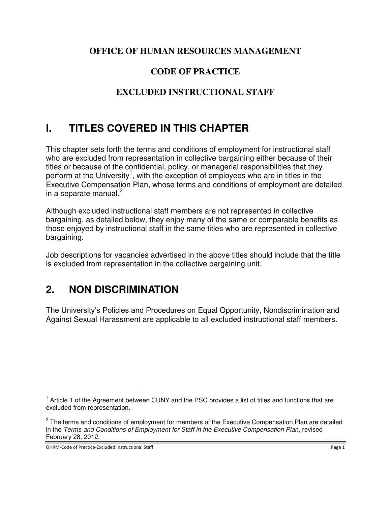#### **OFFICE OF HUMAN RESOURCES MANAGEMENT**

### **CODE OF PRACTICE**

### **EXCLUDED INSTRUCTIONAL STAFF**

## **I. TITLES COVERED IN THIS CHAPTER**

This chapter sets forth the terms and conditions of employment for instructional staff who are excluded from representation in collective bargaining either because of their titles or because of the confidential, policy, or managerial responsibilities that they perform at the University<sup>1</sup>, with the exception of employees who are in titles in the Executive Compensation Plan, whose terms and conditions of employment are detailed in a separate manual. $<sup>2</sup>$ </sup>

Although excluded instructional staff members are not represented in collective bargaining, as detailed below, they enjoy many of the same or comparable benefits as those enjoyed by instructional staff in the same titles who are represented in collective bargaining.

Job descriptions for vacancies advertised in the above titles should include that the title is excluded from representation in the collective bargaining unit.

## **2. NON DISCRIMINATION**

The University's Policies and Procedures on Equal Opportunity, Nondiscrimination and Against Sexual Harassment are applicable to all excluded instructional staff members.

 $\overline{a}$ 

<sup>&</sup>lt;sup>1</sup> Article 1 of the Agreement between CUNY and the PSC provides a list of titles and functions that are excluded from representation.

<sup>&</sup>lt;sup>2</sup> The terms and conditions of employment for members of the Executive Compensation Plan are detailed in the *Terms and Conditions of Employment for Staff in the Executive Compensation Plan*, revised February 28, 2012.

OHRM-Code of Practice-Excluded Instructional Staff **Page 1** and 2001 and 2008 Page 1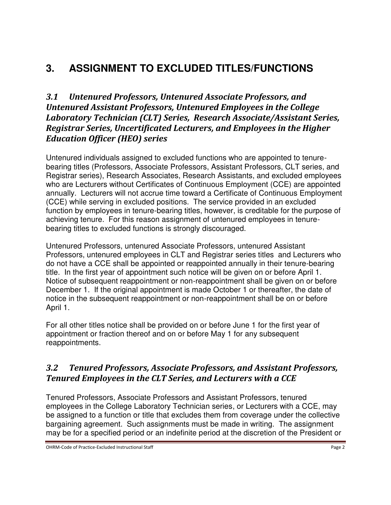# **3. ASSIGNMENT TO EXCLUDED TITLES/FUNCTIONS**

#### *3.1 Untenured Professors, Untenured Associate Professors, and Untenured Assistant Professors, Untenured Employees in the College Laboratory Technician (CLT) Series, Research Associate/Assistant Series, Registrar Series, Uncertificated Lecturers, and Employees in the Higher Education Officer (HEO) series*

Untenured individuals assigned to excluded functions who are appointed to tenurebearing titles (Professors, Associate Professors, Assistant Professors, CLT series, and Registrar series), Research Associates, Research Assistants, and excluded employees who are Lecturers without Certificates of Continuous Employment (CCE) are appointed annually. Lecturers will not accrue time toward a Certificate of Continuous Employment (CCE) while serving in excluded positions. The service provided in an excluded function by employees in tenure-bearing titles, however, is creditable for the purpose of achieving tenure. For this reason assignment of untenured employees in tenurebearing titles to excluded functions is strongly discouraged.

Untenured Professors, untenured Associate Professors, untenured Assistant Professors, untenured employees in CLT and Registrar series titles and Lecturers who do not have a CCE shall be appointed or reappointed annually in their tenure-bearing title. In the first year of appointment such notice will be given on or before April 1. Notice of subsequent reappointment or non-reappointment shall be given on or before December 1. If the original appointment is made October 1 or thereafter, the date of notice in the subsequent reappointment or non-reappointment shall be on or before April 1.

For all other titles notice shall be provided on or before June 1 for the first year of appointment or fraction thereof and on or before May 1 for any subsequent reappointments.

#### *3.2 Tenured Professors, Associate Professors, and Assistant Professors, Tenured Employees in the CLT Series, and Lecturers with a CCE*

Tenured Professors, Associate Professors and Assistant Professors, tenured employees in the College Laboratory Technician series, or Lecturers with a CCE, may be assigned to a function or title that excludes them from coverage under the collective bargaining agreement. Such assignments must be made in writing. The assignment may be for a specified period or an indefinite period at the discretion of the President or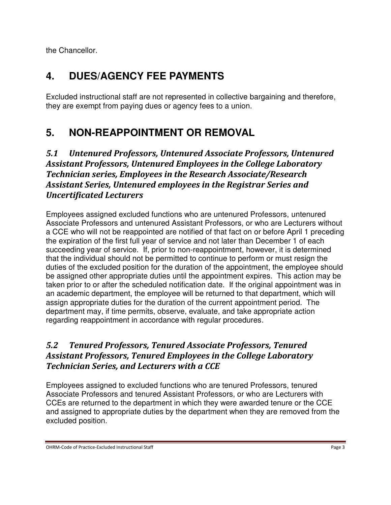the Chancellor.

# **4. DUES/AGENCY FEE PAYMENTS**

Excluded instructional staff are not represented in collective bargaining and therefore, they are exempt from paying dues or agency fees to a union.

# **5. NON-REAPPOINTMENT OR REMOVAL**

### *5.1 Untenured Professors, Untenured Associate Professors, Untenured Assistant Professors, Untenured Employees in the College Laboratory Technician series, Employees in the Research Associate/Research Assistant Series, Untenured employees in the Registrar Series and Uncertificated Lecturers*

Employees assigned excluded functions who are untenured Professors, untenured Associate Professors and untenured Assistant Professors, or who are Lecturers without a CCE who will not be reappointed are notified of that fact on or before April 1 preceding the expiration of the first full year of service and not later than December 1 of each succeeding year of service. If, prior to non-reappointment, however, it is determined that the individual should not be permitted to continue to perform or must resign the duties of the excluded position for the duration of the appointment, the employee should be assigned other appropriate duties until the appointment expires. This action may be taken prior to or after the scheduled notification date. If the original appointment was in an academic department, the employee will be returned to that department, which will assign appropriate duties for the duration of the current appointment period. The department may, if time permits, observe, evaluate, and take appropriate action regarding reappointment in accordance with regular procedures.

### *5.2 Tenured Professors, Tenured Associate Professors, Tenured Assistant Professors, Tenured Employees in the College Laboratory Technician Series, and Lecturers with a CCE*

Employees assigned to excluded functions who are tenured Professors, tenured Associate Professors and tenured Assistant Professors, or who are Lecturers with CCEs are returned to the department in which they were awarded tenure or the CCE and assigned to appropriate duties by the department when they are removed from the excluded position.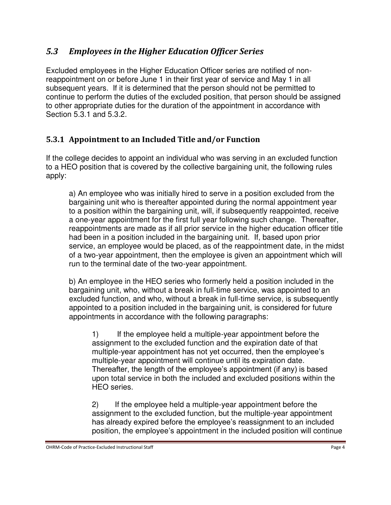### *5.3 Employees in the Higher Education Officer Series*

Excluded employees in the Higher Education Officer series are notified of nonreappointment on or before June 1 in their first year of service and May 1 in all subsequent years. If it is determined that the person should not be permitted to continue to perform the duties of the excluded position, that person should be assigned to other appropriate duties for the duration of the appointment in accordance with Section 5.3.1 and 5.3.2.

### **5.3.1 Appointment to an Included Title and/or Function**

If the college decides to appoint an individual who was serving in an excluded function to a HEO position that is covered by the collective bargaining unit, the following rules apply:

a) An employee who was initially hired to serve in a position excluded from the bargaining unit who is thereafter appointed during the normal appointment year to a position within the bargaining unit, will, if subsequently reappointed, receive a one-year appointment for the first full year following such change. Thereafter, reappointments are made as if all prior service in the higher education officer title had been in a position included in the bargaining unit. If, based upon prior service, an employee would be placed, as of the reappointment date, in the midst of a two-year appointment, then the employee is given an appointment which will run to the terminal date of the two-year appointment.

b) An employee in the HEO series who formerly held a position included in the bargaining unit, who, without a break in full-time service, was appointed to an excluded function, and who, without a break in full-time service, is subsequently appointed to a position included in the bargaining unit, is considered for future appointments in accordance with the following paragraphs:

1) If the employee held a multiple-year appointment before the assignment to the excluded function and the expiration date of that multiple-year appointment has not yet occurred, then the employee's multiple-year appointment will continue until its expiration date. Thereafter, the length of the employee's appointment (if any) is based upon total service in both the included and excluded positions within the HEO series.

2) If the employee held a multiple-year appointment before the assignment to the excluded function, but the multiple-year appointment has already expired before the employee's reassignment to an included position, the employee's appointment in the included position will continue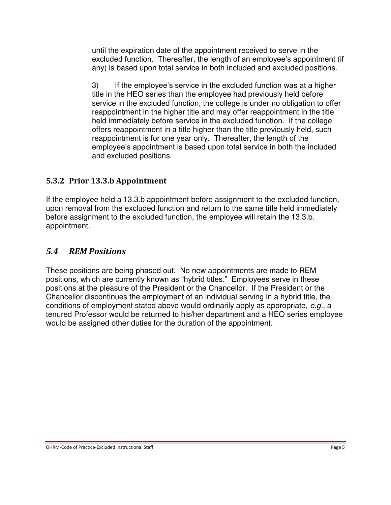until the expiration date of the appointment received to serve in the excluded function. Thereafter, the length of an employee's appointment (if any) is based upon total service in both included and excluded positions.

3) If the employee's service in the excluded function was at a higher title in the HEO series than the employee had previously held before service in the excluded function, the college is under no obligation to offer reappointment in the higher title and may offer reappointment in the title held immediately before service in the excluded function. If the college offers reappointment in a title higher than the title previously held, such reappointment is for one year only. Thereafter, the length of the employee's appointment is based upon total service in both the included and excluded positions.

#### **5.3.2 Prior 13.3.b Appointment**

If the employee held a 13.3.b appointment before assignment to the excluded function, upon removal from the excluded function and return to the same title held immediately before assignment to the excluded function, the employee will retain the 13.3.b. appointment.

#### *5.4 REM Positions*

These positions are being phased out. No new appointments are made to REM positions, which are currently known as "hybrid titles." Employees serve in these positions at the pleasure of the President or the Chancellor. If the President or the Chancellor discontinues the employment of an individual serving in a hybrid title, the conditions of employment stated above would ordinarily apply as appropriate, *e.g.,* a tenured Professor would be returned to his/her department and a HEO series employee would be assigned other duties for the duration of the appointment.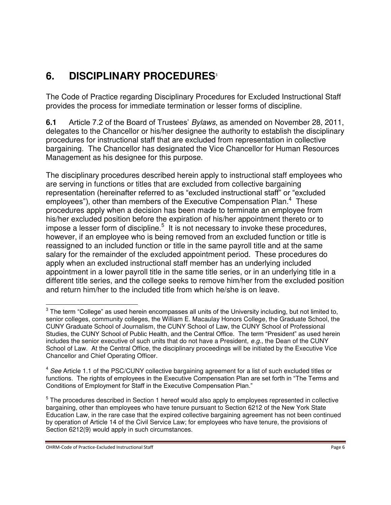# **6. DISCIPLINARY PROCEDURES**<sup>3</sup>

The Code of Practice regarding Disciplinary Procedures for Excluded Instructional Staff provides the process for immediate termination or lesser forms of discipline.

**6.1** Article 7.2 of the Board of Trustees' *Bylaws*, as amended on November 28, 2011, delegates to the Chancellor or his/her designee the authority to establish the disciplinary procedures for instructional staff that are excluded from representation in collective bargaining. The Chancellor has designated the Vice Chancellor for Human Resources Management as his designee for this purpose.

The disciplinary procedures described herein apply to instructional staff employees who are serving in functions or titles that are excluded from collective bargaining representation (hereinafter referred to as "excluded instructional staff" or "excluded employees"), other than members of the Executive Compensation Plan.<sup>4</sup> These procedures apply when a decision has been made to terminate an employee from his/her excluded position before the expiration of his/her appointment thereto or to impose a lesser form of discipline. $5$  It is not necessary to invoke these procedures, however, if an employee who is being removed from an excluded function or title is reassigned to an included function or title in the same payroll title and at the same salary for the remainder of the excluded appointment period. These procedures do apply when an excluded instructional staff member has an underlying included appointment in a lower payroll title in the same title series, or in an underlying title in a different title series, and the college seeks to remove him/her from the excluded position and return him/her to the included title from which he/she is on leave.

OHRM-Code of Practice-Excluded Instructional Staff **Page 6** and Controller Page 6 and Controller Page 6 and Controller Page 6 and Controller Page 6 and Controller Page 6 and Controller Page 6 and Controller Page 6 and Cont

 $\overline{a}$ 

 $^3$  The term "College" as used herein encompasses all units of the University including, but not limited to, senior colleges, community colleges, the William E. Macaulay Honors College, the Graduate School, the CUNY Graduate School of Journalism, the CUNY School of Law, the CUNY School of Professional Studies, the CUNY School of Public Health, and the Central Office. The term "President" as used herein includes the senior executive of such units that do not have a President, *e.g.*, the Dean of the CUNY School of Law. At the Central Office, the disciplinary proceedings will be initiated by the Executive Vice Chancellor and Chief Operating Officer.

<sup>4</sup> *See* Article 1.1 of the PSC/CUNY collective bargaining agreement for a list of such excluded titles or functions. The rights of employees in the Executive Compensation Plan are set forth in "The Terms and Conditions of Employment for Staff in the Executive Compensation Plan."

<sup>&</sup>lt;sup>5</sup> The procedures described in Section 1 hereof would also apply to employees represented in collective bargaining, other than employees who have tenure pursuant to Section 6212 of the New York State Education Law, in the rare case that the expired collective bargaining agreement has not been continued by operation of Article 14 of the Civil Service Law; for employees who have tenure, the provisions of Section 6212(9) would apply in such circumstances.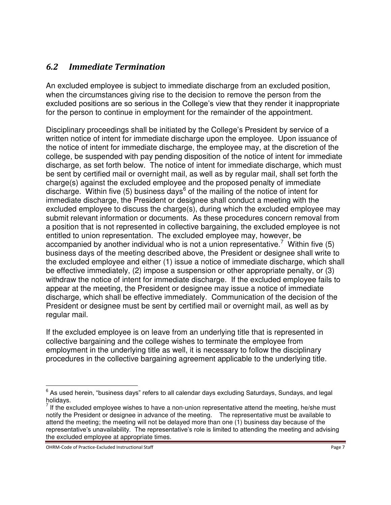#### *6.2 Immediate Termination*

An excluded employee is subject to immediate discharge from an excluded position, when the circumstances giving rise to the decision to remove the person from the excluded positions are so serious in the College's view that they render it inappropriate for the person to continue in employment for the remainder of the appointment.

Disciplinary proceedings shall be initiated by the College's President by service of a written notice of intent for immediate discharge upon the employee. Upon issuance of the notice of intent for immediate discharge, the employee may, at the discretion of the college, be suspended with pay pending disposition of the notice of intent for immediate discharge, as set forth below. The notice of intent for immediate discharge, which must be sent by certified mail or overnight mail, as well as by regular mail, shall set forth the charge(s) against the excluded employee and the proposed penalty of immediate discharge. Within five (5) business days<sup>6</sup> of the mailing of the notice of intent for immediate discharge, the President or designee shall conduct a meeting with the excluded employee to discuss the charge(s), during which the excluded employee may submit relevant information or documents. As these procedures concern removal from a position that is not represented in collective bargaining, the excluded employee is not entitled to union representation. The excluded employee may, however, be accompanied by another individual who is not a union representative.<sup>7</sup> Within five (5) business days of the meeting described above, the President or designee shall write to the excluded employee and either (1) issue a notice of immediate discharge, which shall be effective immediately, (2) impose a suspension or other appropriate penalty, or (3) withdraw the notice of intent for immediate discharge. If the excluded employee fails to appear at the meeting, the President or designee may issue a notice of immediate discharge, which shall be effective immediately. Communication of the decision of the President or designee must be sent by certified mail or overnight mail, as well as by regular mail.

If the excluded employee is on leave from an underlying title that is represented in collective bargaining and the college wishes to terminate the employee from employment in the underlying title as well, it is necessary to follow the disciplinary procedures in the collective bargaining agreement applicable to the underlying title.

OHRM-Code of Practice-Excluded Instructional Staff **Page 7** National State Page 7 National Staff Page 7 National State Page 7 National Staff Page 7 National State Page 7 National Staff Page 7 National Staff Page 7 National

 $\overline{a}$ 

 $^6$  As used herein, "business days" refers to all calendar days excluding Saturdays, Sundays, and legal

holidays.<br><sup>7</sup> If the excluded employee wishes to have a non-union representative attend the meeting, he/she must notify the President or designee in advance of the meeting. The representative must be available to attend the meeting; the meeting will not be delayed more than one (1) business day because of the representative's unavailability. The representative's role is limited to attending the meeting and advising the excluded employee at appropriate times.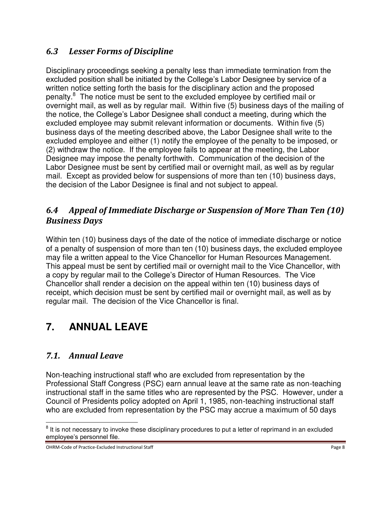### *6.3 Lesser Forms of Discipline*

Disciplinary proceedings seeking a penalty less than immediate termination from the excluded position shall be initiated by the College's Labor Designee by service of a written notice setting forth the basis for the disciplinary action and the proposed penalty.<sup>8</sup> The notice must be sent to the excluded employee by certified mail or overnight mail, as well as by regular mail. Within five (5) business days of the mailing of the notice, the College's Labor Designee shall conduct a meeting, during which the excluded employee may submit relevant information or documents. Within five (5) business days of the meeting described above, the Labor Designee shall write to the excluded employee and either (1) notify the employee of the penalty to be imposed, or (2) withdraw the notice. If the employee fails to appear at the meeting, the Labor Designee may impose the penalty forthwith. Communication of the decision of the Labor Designee must be sent by certified mail or overnight mail, as well as by regular mail. Except as provided below for suspensions of more than ten (10) business days, the decision of the Labor Designee is final and not subject to appeal.

#### *6.4 Appeal of Immediate Discharge or Suspension of More Than Ten (10) Business Days*

Within ten (10) business days of the date of the notice of immediate discharge or notice of a penalty of suspension of more than ten (10) business days, the excluded employee may file a written appeal to the Vice Chancellor for Human Resources Management. This appeal must be sent by certified mail or overnight mail to the Vice Chancellor, with a copy by regular mail to the College's Director of Human Resources. The Vice Chancellor shall render a decision on the appeal within ten (10) business days of receipt, which decision must be sent by certified mail or overnight mail, as well as by regular mail. The decision of the Vice Chancellor is final.

# **7. ANNUAL LEAVE**

### *7.1. Annual Leave*

 $\overline{a}$ 

Non-teaching instructional staff who are excluded from representation by the Professional Staff Congress (PSC) earn annual leave at the same rate as non-teaching instructional staff in the same titles who are represented by the PSC. However, under a Council of Presidents policy adopted on April 1, 1985, non-teaching instructional staff who are excluded from representation by the PSC may accrue a maximum of 50 days

 $8$  It is not necessary to invoke these disciplinary procedures to put a letter of reprimand in an excluded employee's personnel file.

OHRM-Code of Practice-Excluded Instructional Staff **Page 8** and Page 8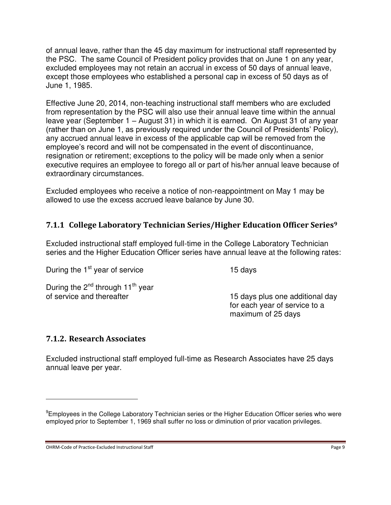of annual leave, rather than the 45 day maximum for instructional staff represented by the PSC. The same Council of President policy provides that on June 1 on any year, excluded employees may not retain an accrual in excess of 50 days of annual leave, except those employees who established a personal cap in excess of 50 days as of June 1, 1985.

Effective June 20, 2014, non-teaching instructional staff members who are excluded from representation by the PSC will also use their annual leave time within the annual leave year (September 1 – August 31) in which it is earned. On August 31 of any year (rather than on June 1, as previously required under the Council of Presidents' Policy), any accrued annual leave in excess of the applicable cap will be removed from the employee's record and will not be compensated in the event of discontinuance, resignation or retirement; exceptions to the policy will be made only when a senior executive requires an employee to forego all or part of his/her annual leave because of extraordinary circumstances.

Excluded employees who receive a notice of non-reappointment on May 1 may be allowed to use the excess accrued leave balance by June 30.

#### **7.1.1 College Laboratory Technician Series/Higher Education Officer Series<sup>9</sup>**

Excluded instructional staff employed full-time in the College Laboratory Technician series and the Higher Education Officer series have annual leave at the following rates:

During the  $2^{nd}$  through 11<sup>th</sup> year of service and thereafter

During the  $1<sup>st</sup>$  year of service 15 days

15 days plus one additional day for each year of service to a maximum of 25 days

#### **7.1.2. Research Associates**

 $\overline{a}$ 

Excluded instructional staff employed full-time as Research Associates have 25 days annual leave per year.

OHRM-Code of Practice-Excluded Instructional Staff **Page 9** and Page 9

<sup>&</sup>lt;sup>9</sup>Employees in the College Laboratory Technician series or the Higher Education Officer series who were employed prior to September 1, 1969 shall suffer no loss or diminution of prior vacation privileges.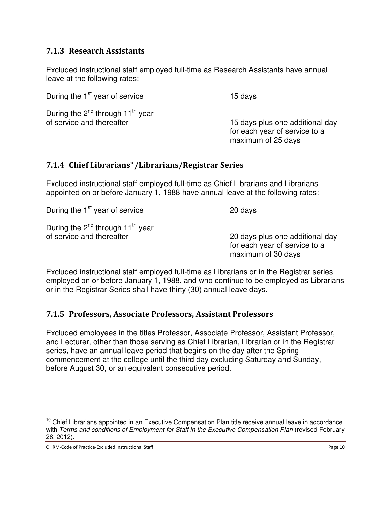#### **7.1.3 Research Assistants**

Excluded instructional staff employed full-time as Research Assistants have annual leave at the following rates:

During the 1<sup>st</sup> year of service 15 days During the  $2^{nd}$  through 11<sup>th</sup> year

of service and thereafter 15 days plus one additional day for each year of service to a maximum of 25 days

#### **7.1.4 Chief Librarians**<sup>10</sup>**/Librarians/Registrar Series**

Excluded instructional staff employed full-time as Chief Librarians and Librarians appointed on or before January 1, 1988 have annual leave at the following rates:

During the 1<sup>st</sup> year of service 20 days

During the  $2^{nd}$  through 11<sup>th</sup> year of service and thereafter

20 days plus one additional day for each year of service to a maximum of 30 days

Excluded instructional staff employed full-time as Librarians or in the Registrar series employed on or before January 1, 1988, and who continue to be employed as Librarians or in the Registrar Series shall have thirty (30) annual leave days.

#### **7.1.5 Professors, Associate Professors, Assistant Professors**

Excluded employees in the titles Professor, Associate Professor, Assistant Professor, and Lecturer, other than those serving as Chief Librarian, Librarian or in the Registrar series, have an annual leave period that begins on the day after the Spring commencement at the college until the third day excluding Saturday and Sunday, before August 30, or an equivalent consecutive period.

 $\overline{a}$ 

 $10$  Chief Librarians appointed in an Executive Compensation Plan title receive annual leave in accordance with *Terms and conditions of Employment for Staff in the Executive Compensation Plan* (revised February 28, 2012).

OHRM-Code of Practice-Excluded Instructional Staff **Page 10** and 2008 and 2008 and 2008 and 2008 and 2008 and 200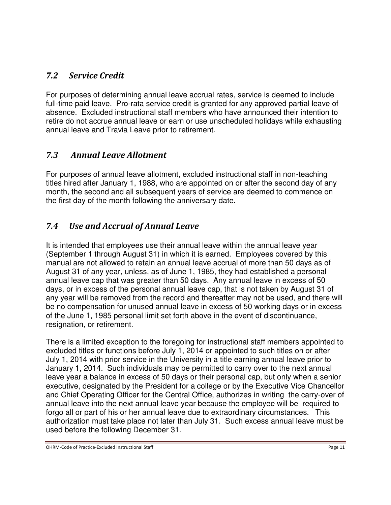### *7.2 Service Credit*

For purposes of determining annual leave accrual rates, service is deemed to include full-time paid leave. Pro-rata service credit is granted for any approved partial leave of absence. Excluded instructional staff members who have announced their intention to retire do not accrue annual leave or earn or use unscheduled holidays while exhausting annual leave and Travia Leave prior to retirement.

### *7.3 Annual Leave Allotment*

For purposes of annual leave allotment, excluded instructional staff in non-teaching titles hired after January 1, 1988, who are appointed on or after the second day of any month, the second and all subsequent years of service are deemed to commence on the first day of the month following the anniversary date.

### *7.4 Use and Accrual of Annual Leave*

It is intended that employees use their annual leave within the annual leave year (September 1 through August 31) in which it is earned. Employees covered by this manual are not allowed to retain an annual leave accrual of more than 50 days as of August 31 of any year, unless, as of June 1, 1985, they had established a personal annual leave cap that was greater than 50 days. Any annual leave in excess of 50 days, or in excess of the personal annual leave cap, that is not taken by August 31 of any year will be removed from the record and thereafter may not be used, and there will be no compensation for unused annual leave in excess of 50 working days or in excess of the June 1, 1985 personal limit set forth above in the event of discontinuance, resignation, or retirement.

There is a limited exception to the foregoing for instructional staff members appointed to excluded titles or functions before July 1, 2014 or appointed to such titles on or after July 1, 2014 with prior service in the University in a title earning annual leave prior to January 1, 2014. Such individuals may be permitted to carry over to the next annual leave year a balance in excess of 50 days or their personal cap, but only when a senior executive, designated by the President for a college or by the Executive Vice Chancellor and Chief Operating Officer for the Central Office, authorizes in writing the carry-over of annual leave into the next annual leave year because the employee will be required to forgo all or part of his or her annual leave due to extraordinary circumstances. This authorization must take place not later than July 31. Such excess annual leave must be used before the following December 31.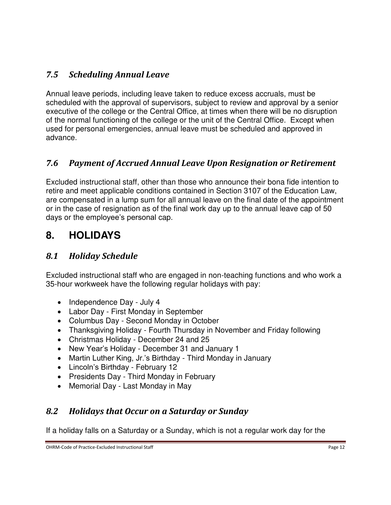### *7.5 Scheduling Annual Leave*

Annual leave periods, including leave taken to reduce excess accruals, must be scheduled with the approval of supervisors, subject to review and approval by a senior executive of the college or the Central Office, at times when there will be no disruption of the normal functioning of the college or the unit of the Central Office. Except when used for personal emergencies, annual leave must be scheduled and approved in advance.

### *7.6 Payment of Accrued Annual Leave Upon Resignation or Retirement*

Excluded instructional staff, other than those who announce their bona fide intention to retire and meet applicable conditions contained in Section 3107 of the Education Law, are compensated in a lump sum for all annual leave on the final date of the appointment or in the case of resignation as of the final work day up to the annual leave cap of 50 days or the employee's personal cap.

## **8. HOLIDAYS**

### *8.1 Holiday Schedule*

Excluded instructional staff who are engaged in non-teaching functions and who work a 35-hour workweek have the following regular holidays with pay:

- Independence Day July 4
- Labor Day First Monday in September
- Columbus Day Second Monday in October
- Thanksgiving Holiday Fourth Thursday in November and Friday following
- Christmas Holiday December 24 and 25
- New Year's Holiday December 31 and January 1
- Martin Luther King, Jr.'s Birthday Third Monday in January
- Lincoln's Birthday February 12
- Presidents Day Third Monday in February
- Memorial Day Last Monday in May

### *8.2 Holidays that Occur on a Saturday or Sunday*

If a holiday falls on a Saturday or a Sunday, which is not a regular work day for the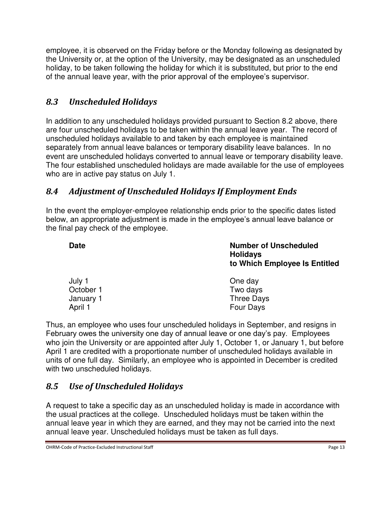employee, it is observed on the Friday before or the Monday following as designated by the University or, at the option of the University, may be designated as an unscheduled holiday, to be taken following the holiday for which it is substituted, but prior to the end of the annual leave year, with the prior approval of the employee's supervisor.

### *8.3 Unscheduled Holidays*

In addition to any unscheduled holidays provided pursuant to Section 8.2 above, there are four unscheduled holidays to be taken within the annual leave year. The record of unscheduled holidays available to and taken by each employee is maintained separately from annual leave balances or temporary disability leave balances. In no event are unscheduled holidays converted to annual leave or temporary disability leave. The four established unscheduled holidays are made available for the use of employees who are in active pay status on July 1.

### *8.4 Adjustment of Unscheduled Holidays If Employment Ends*

In the event the employer-employee relationship ends prior to the specific dates listed below, an appropriate adjustment is made in the employee's annual leave balance or the final pay check of the employee.

**Date Number of Unscheduled Holidays to Which Employee Is Entitled** 

| July 1    | One day    |
|-----------|------------|
| October 1 | Two days   |
| January 1 | Three Days |
| April 1   | Four Days  |

Thus, an employee who uses four unscheduled holidays in September, and resigns in February owes the university one day of annual leave or one day's pay. Employees who join the University or are appointed after July 1, October 1, or January 1, but before April 1 are credited with a proportionate number of unscheduled holidays available in units of one full day. Similarly, an employee who is appointed in December is credited with two unscheduled holidays.

### *8.5 Use of Unscheduled Holidays*

A request to take a specific day as an unscheduled holiday is made in accordance with the usual practices at the college. Unscheduled holidays must be taken within the annual leave year in which they are earned, and they may not be carried into the next annual leave year. Unscheduled holidays must be taken as full days.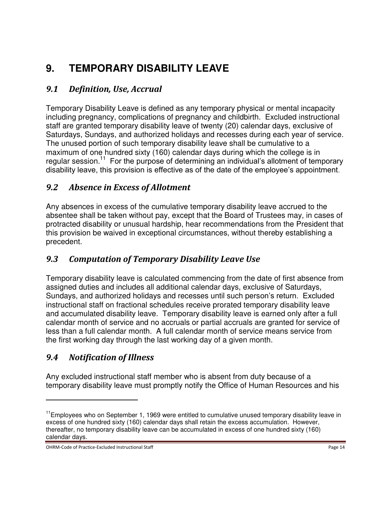# **9. TEMPORARY DISABILITY LEAVE**

### *9.1 Definition, Use, Accrual*

Temporary Disability Leave is defined as any temporary physical or mental incapacity including pregnancy, complications of pregnancy and childbirth. Excluded instructional staff are granted temporary disability leave of twenty (20) calendar days, exclusive of Saturdays, Sundays, and authorized holidays and recesses during each year of service. The unused portion of such temporary disability leave shall be cumulative to a maximum of one hundred sixty (160) calendar days during which the college is in regular session.<sup>11</sup> For the purpose of determining an individual's allotment of temporary disability leave, this provision is effective as of the date of the employee's appointment.

### *9.2 Absence in Excess of Allotment*

Any absences in excess of the cumulative temporary disability leave accrued to the absentee shall be taken without pay, except that the Board of Trustees may, in cases of protracted disability or unusual hardship, hear recommendations from the President that this provision be waived in exceptional circumstances, without thereby establishing a precedent.

### *9.3 Computation of Temporary Disability Leave Use*

Temporary disability leave is calculated commencing from the date of first absence from assigned duties and includes all additional calendar days, exclusive of Saturdays, Sundays, and authorized holidays and recesses until such person's return. Excluded instructional staff on fractional schedules receive prorated temporary disability leave and accumulated disability leave. Temporary disability leave is earned only after a full calendar month of service and no accruals or partial accruals are granted for service of less than a full calendar month. A full calendar month of service means service from the first working day through the last working day of a given month.

#### *9.4 Notification of Illness*

 $\overline{a}$ 

Any excluded instructional staff member who is absent from duty because of a temporary disability leave must promptly notify the Office of Human Resources and his

 $11$ Employees who on September 1, 1969 were entitled to cumulative unused temporary disability leave in excess of one hundred sixty (160) calendar days shall retain the excess accumulation. However, thereafter, no temporary disability leave can be accumulated in excess of one hundred sixty (160) calendar days.

OHRM-Code of Practice-Excluded Instructional Staff **Page 14** and 2008 and 2008 and 2008 and 2008 and 2008 and 200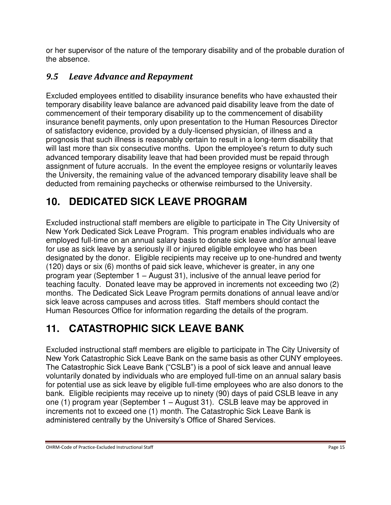or her supervisor of the nature of the temporary disability and of the probable duration of the absence.

### *9.5 Leave Advance and Repayment*

Excluded employees entitled to disability insurance benefits who have exhausted their temporary disability leave balance are advanced paid disability leave from the date of commencement of their temporary disability up to the commencement of disability insurance benefit payments, only upon presentation to the Human Resources Director of satisfactory evidence, provided by a duly-licensed physician, of illness and a prognosis that such illness is reasonably certain to result in a long-term disability that will last more than six consecutive months. Upon the employee's return to duty such advanced temporary disability leave that had been provided must be repaid through assignment of future accruals. In the event the employee resigns or voluntarily leaves the University, the remaining value of the advanced temporary disability leave shall be deducted from remaining paychecks or otherwise reimbursed to the University.

# **10. DEDICATED SICK LEAVE PROGRAM**

Excluded instructional staff members are eligible to participate in The City University of New York Dedicated Sick Leave Program. This program enables individuals who are employed full-time on an annual salary basis to donate sick leave and/or annual leave for use as sick leave by a seriously ill or injured eligible employee who has been designated by the donor. Eligible recipients may receive up to one-hundred and twenty (120) days or six (6) months of paid sick leave, whichever is greater, in any one program year (September 1 – August 31), inclusive of the annual leave period for teaching faculty. Donated leave may be approved in increments not exceeding two (2) months. The Dedicated Sick Leave Program permits donations of annual leave and/or sick leave across campuses and across titles. Staff members should contact the Human Resources Office for information regarding the details of the program.

# **11. CATASTROPHIC SICK LEAVE BANK**

Excluded instructional staff members are eligible to participate in The City University of New York Catastrophic Sick Leave Bank on the same basis as other CUNY employees. The Catastrophic Sick Leave Bank ("CSLB") is a pool of sick leave and annual leave voluntarily donated by individuals who are employed full-time on an annual salary basis for potential use as sick leave by eligible full-time employees who are also donors to the bank. Eligible recipients may receive up to ninety (90) days of paid CSLB leave in any one (1) program year (September 1 – August 31). CSLB leave may be approved in increments not to exceed one (1) month. The Catastrophic Sick Leave Bank is administered centrally by the University's Office of Shared Services.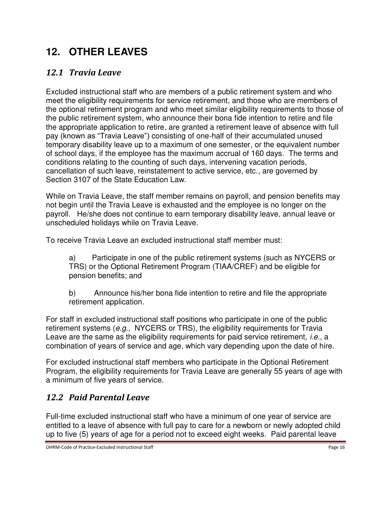# **12. OTHER LEAVES**

### *12.1 Travia Leave*

Excluded instructional staff who are members of a public retirement system and who meet the eligibility requirements for service retirement, and those who are members of the optional retirement program and who meet similar eligibility requirements to those of the public retirement system, who announce their bona fide intention to retire and file the appropriate application to retire, are granted a retirement leave of absence with full pay (known as "Travia Leave") consisting of one-half of their accumulated unused temporary disability leave up to a maximum of one semester, or the equivalent number of school days, if the employee has the maximum accrual of 160 days. The terms and conditions relating to the counting of such days, intervening vacation periods, cancellation of such leave, reinstatement to active service, etc., are governed by Section 3107 of the State Education Law.

While on Travia Leave, the staff member remains on payroll, and pension benefits may not begin until the Travia Leave is exhausted and the employee is no longer on the payroll. He/she does not continue to earn temporary disability leave, annual leave or unscheduled holidays while on Travia Leave.

To receive Travia Leave an excluded instructional staff member must:

a) Participate in one of the public retirement systems (such as NYCERS or TRS) or the Optional Retirement Program (TIAA/CREF) and be eligible for pension benefits; and

b) Announce his/her bona fide intention to retire and file the appropriate retirement application.

For staff in excluded instructional staff positions who participate in one of the public retirement systems (*e.g.*, NYCERS or TRS), the eligibility requirements for Travia Leave are the same as the eligibility requirements for paid service retirement, *i.e.*, a combination of years of service and age, which vary depending upon the date of hire.

For excluded instructional staff members who participate in the Optional Retirement Program, the eligibility requirements for Travia Leave are generally 55 years of age with a minimum of five years of service.

### *12.2 Paid Parental Leave*

Full-time excluded instructional staff who have a minimum of one year of service are entitled to a leave of absence with full pay to care for a newborn or newly adopted child up to five (5) years of age for a period not to exceed eight weeks. Paid parental leave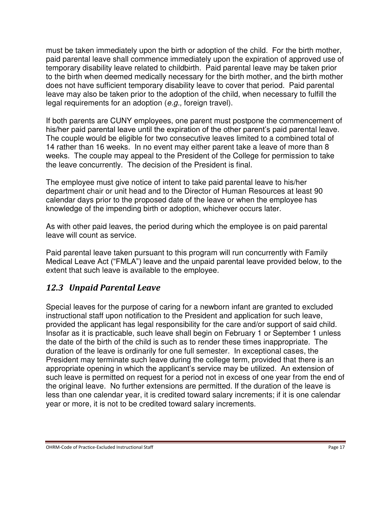must be taken immediately upon the birth or adoption of the child. For the birth mother, paid parental leave shall commence immediately upon the expiration of approved use of temporary disability leave related to childbirth. Paid parental leave may be taken prior to the birth when deemed medically necessary for the birth mother, and the birth mother does not have sufficient temporary disability leave to cover that period. Paid parental leave may also be taken prior to the adoption of the child, when necessary to fulfill the legal requirements for an adoption (*e.g.,* foreign travel).

If both parents are CUNY employees, one parent must postpone the commencement of his/her paid parental leave until the expiration of the other parent's paid parental leave. The couple would be eligible for two consecutive leaves limited to a combined total of 14 rather than 16 weeks. In no event may either parent take a leave of more than 8 weeks. The couple may appeal to the President of the College for permission to take the leave concurrently. The decision of the President is final.

The employee must give notice of intent to take paid parental leave to his/her department chair or unit head and to the Director of Human Resources at least 90 calendar days prior to the proposed date of the leave or when the employee has knowledge of the impending birth or adoption, whichever occurs later.

As with other paid leaves, the period during which the employee is on paid parental leave will count as service.

Paid parental leave taken pursuant to this program will run concurrently with Family Medical Leave Act ("FMLA") leave and the unpaid parental leave provided below, to the extent that such leave is available to the employee.

#### *12.3 Unpaid Parental Leave*

Special leaves for the purpose of caring for a newborn infant are granted to excluded instructional staff upon notification to the President and application for such leave, provided the applicant has legal responsibility for the care and/or support of said child. Insofar as it is practicable, such leave shall begin on February 1 or September 1 unless the date of the birth of the child is such as to render these times inappropriate. The duration of the leave is ordinarily for one full semester. In exceptional cases, the President may terminate such leave during the college term, provided that there is an appropriate opening in which the applicant's service may be utilized. An extension of such leave is permitted on request for a period not in excess of one year from the end of the original leave. No further extensions are permitted. If the duration of the leave is less than one calendar year, it is credited toward salary increments; if it is one calendar year or more, it is not to be credited toward salary increments.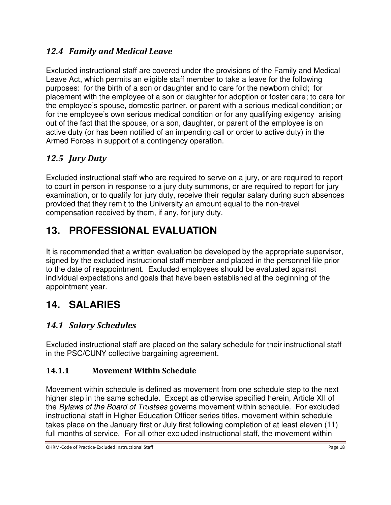### *12.4 Family and Medical Leave*

Excluded instructional staff are covered under the provisions of the Family and Medical Leave Act, which permits an eligible staff member to take a leave for the following purposes: for the birth of a son or daughter and to care for the newborn child; for placement with the employee of a son or daughter for adoption or foster care; to care for the employee's spouse, domestic partner, or parent with a serious medical condition; or for the employee's own serious medical condition or for any qualifying exigency arising out of the fact that the spouse, or a son, daughter, or parent of the employee is on active duty (or has been notified of an impending call or order to active duty) in the Armed Forces in support of a contingency operation.

### *12.5 Jury Duty*

Excluded instructional staff who are required to serve on a jury, or are required to report to court in person in response to a jury duty summons, or are required to report for jury examination, or to qualify for jury duty, receive their regular salary during such absences provided that they remit to the University an amount equal to the non-travel compensation received by them, if any, for jury duty.

# **13. PROFESSIONAL EVALUATION**

It is recommended that a written evaluation be developed by the appropriate supervisor, signed by the excluded instructional staff member and placed in the personnel file prior to the date of reappointment. Excluded employees should be evaluated against individual expectations and goals that have been established at the beginning of the appointment year.

## **14. SALARIES**

### *14.1 Salary Schedules*

Excluded instructional staff are placed on the salary schedule for their instructional staff in the PSC/CUNY collective bargaining agreement.

#### **14.1.1 Movement Within Schedule**

Movement within schedule is defined as movement from one schedule step to the next higher step in the same schedule. Except as otherwise specified herein, Article XII of the *Bylaws of the Board of Trustees* governs movement within schedule. For excluded instructional staff in Higher Education Officer series titles, movement within schedule takes place on the January first or July first following completion of at least eleven (11) full months of service. For all other excluded instructional staff, the movement within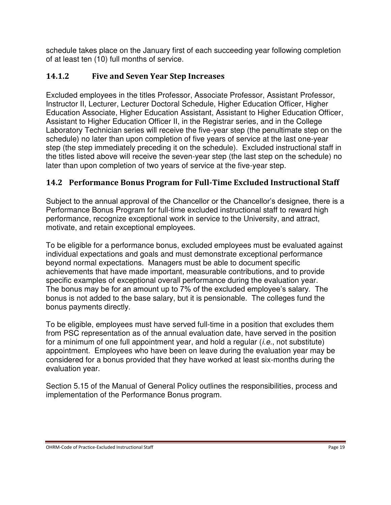schedule takes place on the January first of each succeeding year following completion of at least ten (10) full months of service.

### **14.1.2 Five and Seven Year Step Increases**

Excluded employees in the titles Professor, Associate Professor, Assistant Professor, Instructor II, Lecturer, Lecturer Doctoral Schedule, Higher Education Officer, Higher Education Associate, Higher Education Assistant, Assistant to Higher Education Officer, Assistant to Higher Education Officer II, in the Registrar series, and in the College Laboratory Technician series will receive the five-year step (the penultimate step on the schedule) no later than upon completion of five years of service at the last one-year step (the step immediately preceding it on the schedule). Excluded instructional staff in the titles listed above will receive the seven-year step (the last step on the schedule) no later than upon completion of two years of service at the five-year step.

### **14.2 Performance Bonus Program for Full-Time Excluded Instructional Staff**

Subject to the annual approval of the Chancellor or the Chancellor's designee, there is a Performance Bonus Program for full-time excluded instructional staff to reward high performance, recognize exceptional work in service to the University, and attract, motivate, and retain exceptional employees.

To be eligible for a performance bonus, excluded employees must be evaluated against individual expectations and goals and must demonstrate exceptional performance beyond normal expectations. Managers must be able to document specific achievements that have made important, measurable contributions, and to provide specific examples of exceptional overall performance during the evaluation year. The bonus may be for an amount up to 7% of the excluded employee's salary. The bonus is not added to the base salary, but it is pensionable. The colleges fund the bonus payments directly.

To be eligible, employees must have served full-time in a position that excludes them from PSC representation as of the annual evaluation date, have served in the position for a minimum of one full appointment year, and hold a regular (*i.e.*, not substitute) appointment. Employees who have been on leave during the evaluation year may be considered for a bonus provided that they have worked at least six-months during the evaluation year.

Section 5.15 of the Manual of General Policy outlines the responsibilities, process and implementation of the Performance Bonus program.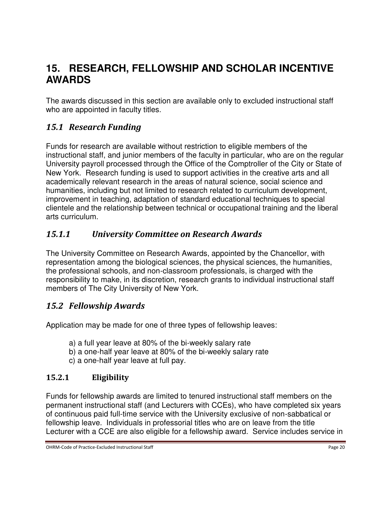## **15. RESEARCH, FELLOWSHIP AND SCHOLAR INCENTIVE AWARDS**

The awards discussed in this section are available only to excluded instructional staff who are appointed in faculty titles.

### *15.1 Research Funding*

Funds for research are available without restriction to eligible members of the instructional staff, and junior members of the faculty in particular, who are on the regular University payroll processed through the Office of the Comptroller of the City or State of New York. Research funding is used to support activities in the creative arts and all academically relevant research in the areas of natural science, social science and humanities, including but not limited to research related to curriculum development, improvement in teaching, adaptation of standard educational techniques to special clientele and the relationship between technical or occupational training and the liberal arts curriculum.

### *15.1.1 University Committee on Research Awards*

The University Committee on Research Awards, appointed by the Chancellor, with representation among the biological sciences, the physical sciences, the humanities, the professional schools, and non-classroom professionals, is charged with the responsibility to make, in its discretion, research grants to individual instructional staff members of The City University of New York.

### *15.2 Fellowship Awards*

Application may be made for one of three types of fellowship leaves:

- a) a full year leave at 80% of the bi-weekly salary rate
- b) a one-half year leave at 80% of the bi-weekly salary rate
- c) a one-half year leave at full pay.

#### **15.2.1 Eligibility**

Funds for fellowship awards are limited to tenured instructional staff members on the permanent instructional staff (and Lecturers with CCEs), who have completed six years of continuous paid full-time service with the University exclusive of non-sabbatical or fellowship leave. Individuals in professorial titles who are on leave from the title Lecturer with a CCE are also eligible for a fellowship award. Service includes service in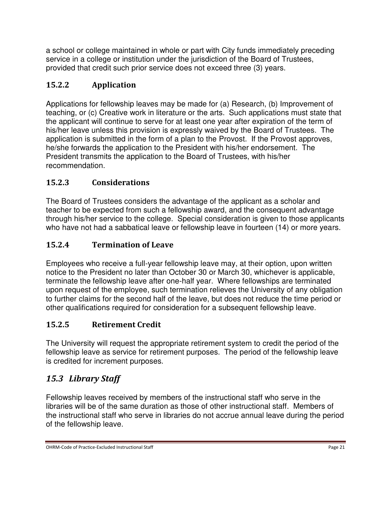a school or college maintained in whole or part with City funds immediately preceding service in a college or institution under the jurisdiction of the Board of Trustees, provided that credit such prior service does not exceed three (3) years.

### **15.2.2 Application**

Applications for fellowship leaves may be made for (a) Research, (b) Improvement of teaching, or (c) Creative work in literature or the arts. Such applications must state that the applicant will continue to serve for at least one year after expiration of the term of his/her leave unless this provision is expressly waived by the Board of Trustees. The application is submitted in the form of a plan to the Provost. If the Provost approves, he/she forwards the application to the President with his/her endorsement. The President transmits the application to the Board of Trustees, with his/her recommendation.

### **15.2.3 Considerations**

The Board of Trustees considers the advantage of the applicant as a scholar and teacher to be expected from such a fellowship award, and the consequent advantage through his/her service to the college. Special consideration is given to those applicants who have not had a sabbatical leave or fellowship leave in fourteen (14) or more years.

### **15.2.4 Termination of Leave**

Employees who receive a full-year fellowship leave may, at their option, upon written notice to the President no later than October 30 or March 30, whichever is applicable, terminate the fellowship leave after one-half year. Where fellowships are terminated upon request of the employee, such termination relieves the University of any obligation to further claims for the second half of the leave, but does not reduce the time period or other qualifications required for consideration for a subsequent fellowship leave.

### **15.2.5 Retirement Credit**

The University will request the appropriate retirement system to credit the period of the fellowship leave as service for retirement purposes. The period of the fellowship leave is credited for increment purposes.

### *15.3 Library Staff*

Fellowship leaves received by members of the instructional staff who serve in the libraries will be of the same duration as those of other instructional staff. Members of the instructional staff who serve in libraries do not accrue annual leave during the period of the fellowship leave.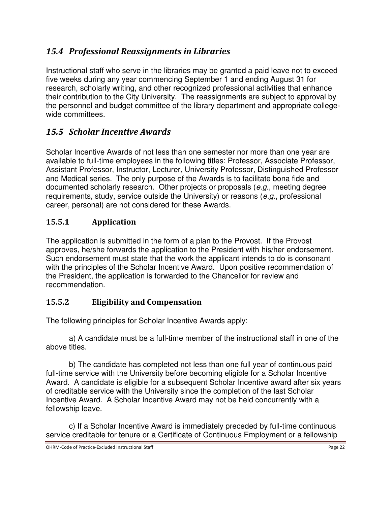### *15.4 Professional Reassignments in Libraries*

Instructional staff who serve in the libraries may be granted a paid leave not to exceed five weeks during any year commencing September 1 and ending August 31 for research, scholarly writing, and other recognized professional activities that enhance their contribution to the City University. The reassignments are subject to approval by the personnel and budget committee of the library department and appropriate collegewide committees.

### *15.5 Scholar Incentive Awards*

Scholar Incentive Awards of not less than one semester nor more than one year are available to full-time employees in the following titles: Professor, Associate Professor, Assistant Professor, Instructor, Lecturer, University Professor, Distinguished Professor and Medical series. The only purpose of the Awards is to facilitate bona fide and documented scholarly research. Other projects or proposals (*e.g.*, meeting degree requirements, study, service outside the University) or reasons (*e.g.*, professional career, personal) are not considered for these Awards.

#### **15.5.1 Application**

The application is submitted in the form of a plan to the Provost. If the Provost approves, he/she forwards the application to the President with his/her endorsement. Such endorsement must state that the work the applicant intends to do is consonant with the principles of the Scholar Incentive Award. Upon positive recommendation of the President, the application is forwarded to the Chancellor for review and recommendation.

#### **15.5.2 Eligibility and Compensation**

The following principles for Scholar Incentive Awards apply:

 a) A candidate must be a full-time member of the instructional staff in one of the above titles.

 b) The candidate has completed not less than one full year of continuous paid full-time service with the University before becoming eligible for a Scholar Incentive Award. A candidate is eligible for a subsequent Scholar Incentive award after six years of creditable service with the University since the completion of the last Scholar Incentive Award. A Scholar Incentive Award may not be held concurrently with a fellowship leave.

 c) If a Scholar Incentive Award is immediately preceded by full-time continuous service creditable for tenure or a Certificate of Continuous Employment or a fellowship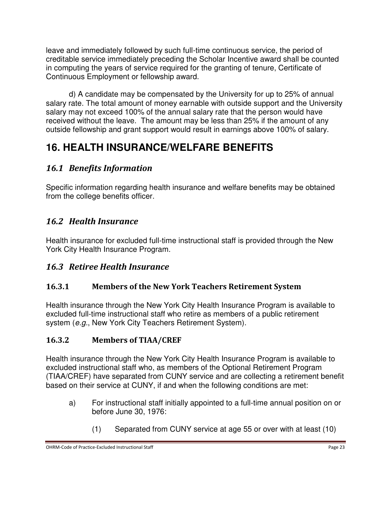leave and immediately followed by such full-time continuous service, the period of creditable service immediately preceding the Scholar Incentive award shall be counted in computing the years of service required for the granting of tenure, Certificate of Continuous Employment or fellowship award.

 d) A candidate may be compensated by the University for up to 25% of annual salary rate. The total amount of money earnable with outside support and the University salary may not exceed 100% of the annual salary rate that the person would have received without the leave. The amount may be less than 25% if the amount of any outside fellowship and grant support would result in earnings above 100% of salary.

# **16. HEALTH INSURANCE/WELFARE BENEFITS**

### *16.1 Benefits Information*

Specific information regarding health insurance and welfare benefits may be obtained from the college benefits officer.

### *16.2 Health Insurance*

Health insurance for excluded full-time instructional staff is provided through the New York City Health Insurance Program.

### *16.3 Retiree Health Insurance*

### **16.3.1 Members of the New York Teachers Retirement System**

Health insurance through the New York City Health Insurance Program is available to excluded full-time instructional staff who retire as members of a public retirement system (*e.g.*, New York City Teachers Retirement System).

### **16.3.2 Members of TIAA/CREF**

Health insurance through the New York City Health Insurance Program is available to excluded instructional staff who, as members of the Optional Retirement Program (TIAA/CREF) have separated from CUNY service and are collecting a retirement benefit based on their service at CUNY, if and when the following conditions are met:

- a) For instructional staff initially appointed to a full-time annual position on or before June 30, 1976:
	- (1) Separated from CUNY service at age 55 or over with at least (10)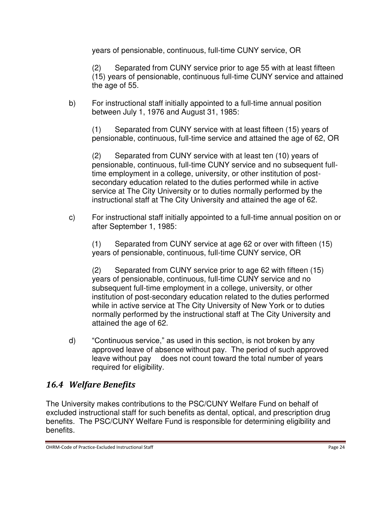years of pensionable, continuous, full-time CUNY service, OR

(2) Separated from CUNY service prior to age 55 with at least fifteen (15) years of pensionable, continuous full-time CUNY service and attained the age of 55.

b) For instructional staff initially appointed to a full-time annual position between July 1, 1976 and August 31, 1985:

(1) Separated from CUNY service with at least fifteen (15) years of pensionable, continuous, full-time service and attained the age of 62, OR

(2) Separated from CUNY service with at least ten (10) years of pensionable, continuous, full-time CUNY service and no subsequent fulltime employment in a college, university, or other institution of postsecondary education related to the duties performed while in active service at The City University or to duties normally performed by the instructional staff at The City University and attained the age of 62.

c) For instructional staff initially appointed to a full-time annual position on or after September 1, 1985:

(1) Separated from CUNY service at age 62 or over with fifteen (15) years of pensionable, continuous, full-time CUNY service, OR

(2) Separated from CUNY service prior to age 62 with fifteen (15) years of pensionable, continuous, full-time CUNY service and no subsequent full-time employment in a college, university, or other institution of post-secondary education related to the duties performed while in active service at The City University of New York or to duties normally performed by the instructional staff at The City University and attained the age of 62.

d) "Continuous service," as used in this section, is not broken by any approved leave of absence without pay. The period of such approved leave without pay does not count toward the total number of years required for eligibility.

### *16.4 Welfare Benefits*

The University makes contributions to the PSC/CUNY Welfare Fund on behalf of excluded instructional staff for such benefits as dental, optical, and prescription drug benefits. The PSC/CUNY Welfare Fund is responsible for determining eligibility and benefits.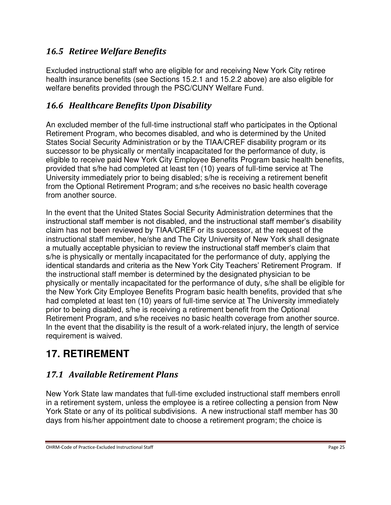### *16.5 Retiree Welfare Benefits*

Excluded instructional staff who are eligible for and receiving New York City retiree health insurance benefits (see Sections 15.2.1 and 15.2.2 above) are also eligible for welfare benefits provided through the PSC/CUNY Welfare Fund.

### *16.6 Healthcare Benefits Upon Disability*

An excluded member of the full-time instructional staff who participates in the Optional Retirement Program, who becomes disabled, and who is determined by the United States Social Security Administration or by the TIAA/CREF disability program or its successor to be physically or mentally incapacitated for the performance of duty, is eligible to receive paid New York City Employee Benefits Program basic health benefits, provided that s/he had completed at least ten (10) years of full-time service at The University immediately prior to being disabled; s/he is receiving a retirement benefit from the Optional Retirement Program; and s/he receives no basic health coverage from another source.

In the event that the United States Social Security Administration determines that the instructional staff member is not disabled, and the instructional staff member's disability claim has not been reviewed by TIAA/CREF or its successor, at the request of the instructional staff member, he/she and The City University of New York shall designate a mutually acceptable physician to review the instructional staff member's claim that s/he is physically or mentally incapacitated for the performance of duty, applying the identical standards and criteria as the New York City Teachers' Retirement Program. If the instructional staff member is determined by the designated physician to be physically or mentally incapacitated for the performance of duty, s/he shall be eligible for the New York City Employee Benefits Program basic health benefits, provided that s/he had completed at least ten (10) years of full-time service at The University immediately prior to being disabled, s/he is receiving a retirement benefit from the Optional Retirement Program, and s/he receives no basic health coverage from another source. In the event that the disability is the result of a work-related injury, the length of service requirement is waived.

## **17. RETIREMENT**

### *17.1 Available Retirement Plans*

New York State law mandates that full-time excluded instructional staff members enroll in a retirement system, unless the employee is a retiree collecting a pension from New York State or any of its political subdivisions. A new instructional staff member has 30 days from his/her appointment date to choose a retirement program; the choice is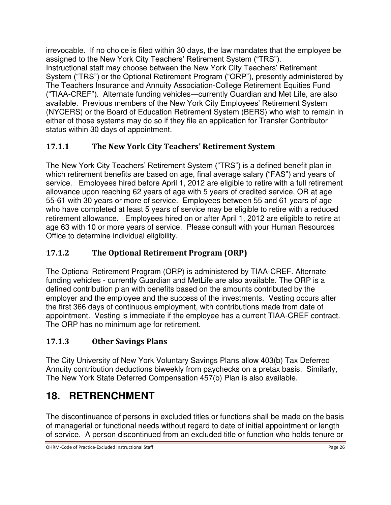irrevocable. If no choice is filed within 30 days, the law mandates that the employee be assigned to the New York City Teachers' Retirement System ("TRS"). Instructional staff may choose between the New York City Teachers' Retirement System ("TRS") or the Optional Retirement Program ("ORP"), presently administered by The Teachers Insurance and Annuity Association-College Retirement Equities Fund ("TIAA-CREF"). Alternate funding vehicles—currently Guardian and Met Life, are also available. Previous members of the New York City Employees' Retirement System (NYCERS) or the Board of Education Retirement System (BERS) who wish to remain in either of those systems may do so if they file an application for Transfer Contributor status within 30 days of appointment.

### **17.1.1 The New York City Teachers' Retirement System**

The New York City Teachers' Retirement System ("TRS") is a defined benefit plan in which retirement benefits are based on age, final average salary ("FAS") and years of service. Employees hired before April 1, 2012 are eligible to retire with a full retirement allowance upon reaching 62 years of age with 5 years of credited service, OR at age 55-61 with 30 years or more of service. Employees between 55 and 61 years of age who have completed at least 5 years of service may be eligible to retire with a reduced retirement allowance. Employees hired on or after April 1, 2012 are eligible to retire at age 63 with 10 or more years of service. Please consult with your Human Resources Office to determine individual eligibility.

### **17.1.2 The Optional Retirement Program (ORP)**

The Optional Retirement Program (ORP) is administered by TIAA-CREF. Alternate funding vehicles - currently Guardian and MetLife are also available. The ORP is a defined contribution plan with benefits based on the amounts contributed by the employer and the employee and the success of the investments. Vesting occurs after the first 366 days of continuous employment, with contributions made from date of appointment. Vesting is immediate if the employee has a current TIAA-CREF contract. The ORP has no minimum age for retirement.

### **17.1.3 Other Savings Plans**

The City University of New York Voluntary Savings Plans allow 403(b) Tax Deferred Annuity contribution deductions biweekly from paychecks on a pretax basis. Similarly, The New York State Deferred Compensation 457(b) Plan is also available.

# **18. RETRENCHMENT**

The discontinuance of persons in excluded titles or functions shall be made on the basis of managerial or functional needs without regard to date of initial appointment or length of service. A person discontinued from an excluded title or function who holds tenure or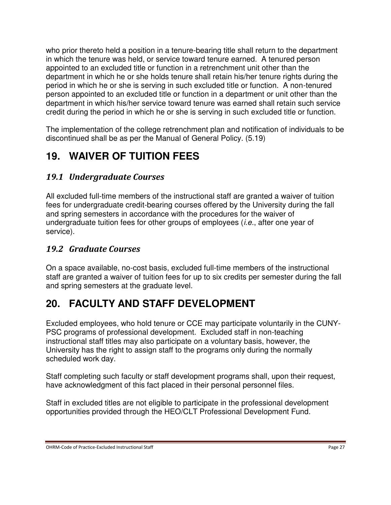who prior thereto held a position in a tenure-bearing title shall return to the department in which the tenure was held, or service toward tenure earned. A tenured person appointed to an excluded title or function in a retrenchment unit other than the department in which he or she holds tenure shall retain his/her tenure rights during the period in which he or she is serving in such excluded title or function. A non-tenured person appointed to an excluded title or function in a department or unit other than the department in which his/her service toward tenure was earned shall retain such service credit during the period in which he or she is serving in such excluded title or function.

The implementation of the college retrenchment plan and notification of individuals to be discontinued shall be as per the Manual of General Policy. (5.19)

## **19. WAIVER OF TUITION FEES**

#### *19.1 Undergraduate Courses*

All excluded full-time members of the instructional staff are granted a waiver of tuition fees for undergraduate credit-bearing courses offered by the University during the fall and spring semesters in accordance with the procedures for the waiver of undergraduate tuition fees for other groups of employees (*i.e.*, after one year of service).

#### *19.2 Graduate Courses*

On a space available, no-cost basis, excluded full-time members of the instructional staff are granted a waiver of tuition fees for up to six credits per semester during the fall and spring semesters at the graduate level.

## **20. FACULTY AND STAFF DEVELOPMENT**

Excluded employees, who hold tenure or CCE may participate voluntarily in the CUNY-PSC programs of professional development. Excluded staff in non-teaching instructional staff titles may also participate on a voluntary basis, however, the University has the right to assign staff to the programs only during the normally scheduled work day.

Staff completing such faculty or staff development programs shall, upon their request, have acknowledgment of this fact placed in their personal personnel files.

Staff in excluded titles are not eligible to participate in the professional development opportunities provided through the HEO/CLT Professional Development Fund.